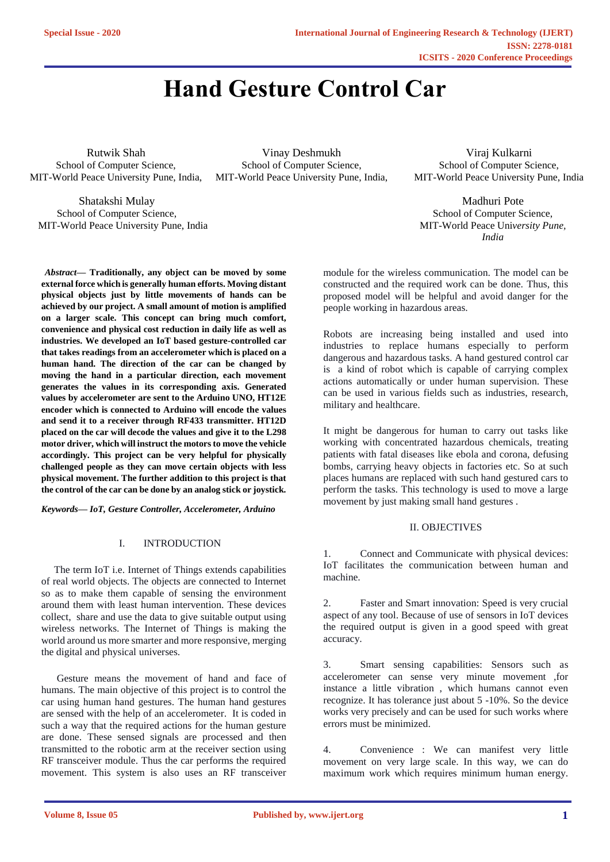# **Hand Gesture Control Car**

Rutwik Shah School of Computer Science, MIT-World Peace University Pune, India,

Shatakshi Mulay School of Computer Science, MIT-World Peace University Pune, India

Vinay Deshmukh School of Computer Science, MIT-World Peace University Pune, India,

Viraj Kulkarni School of Computer Science, MIT-World Peace University Pune, India

Madhuri Pote School of Computer Science, MIT-World Peace Uni*versity Pune, India*

*Abstract—* **Traditionally, any object can be moved by some external force which is generally human efforts. Moving distant physical objects just by little movements of hands can be achieved by our project. A small amount of motion is amplified on a larger scale. This concept can bring much comfort, convenience and physical cost reduction in daily life as well as industries. We developed an IoT based gesture-controlled car that takes readings from an accelerometer which is placed on a human hand. The direction of the car can be changed by moving the hand in a particular direction, each movement generates the values in its corresponding axis. Generated values by accelerometer are sent to the Arduino UNO, HT12E encoder which is connected to Arduino will encode the values and send it to a receiver through RF433 transmitter. HT12D placed on the car will decode the values and give it to the L298 motor driver, which will instruct the motors to move the vehicle accordingly. This project can be very helpful for physically challenged people as they can move certain objects with less physical movement. The further addition to this project is that the control of the car can be done by an analog stick or joystick***.* 

*Keywords— IoT, Gesture Controller, Accelerometer, Arduino* 

## I. INTRODUCTION

 The term IoT i.e. Internet of Things extends capabilities of real world objects. The objects are connected to Internet so as to make them capable of sensing the environment around them with least human intervention. These devices collect, share and use the data to give suitable output using wireless networks. The Internet of Things is making the world around us more smarter and more responsive, merging the digital and physical universes.

 Gesture means the movement of hand and face of humans. The main objective of this project is to control the car using human hand gestures. The human hand gestures are sensed with the help of an accelerometer. It is coded in such a way that the required actions for the human gesture are done. These sensed signals are processed and then transmitted to the robotic arm at the receiver section using RF transceiver module. Thus the car performs the required movement. This system is also uses an RF transceiver

module for the wireless communication. The model can be constructed and the required work can be done. Thus, this proposed model will be helpful and avoid danger for the people working in hazardous areas.

Robots are increasing being installed and used into industries to replace humans especially to perform dangerous and hazardous tasks. A hand gestured control car is a kind of robot which is capable of carrying complex actions automatically or under human supervision. These can be used in various fields such as industries, research, military and healthcare.

It might be dangerous for human to carry out tasks like working with concentrated hazardous chemicals, treating patients with fatal diseases like ebola and corona, defusing bombs, carrying heavy objects in factories etc. So at such places humans are replaced with such hand gestured cars to perform the tasks. This technology is used to move a large movement by just making small hand gestures .

#### II. OBJECTIVES

1. Connect and Communicate with physical devices: IoT facilitates the communication between human and machine.

2. Faster and Smart innovation: Speed is very crucial aspect of any tool. Because of use of sensors in IoT devices the required output is given in a good speed with great accuracy.

3. Smart sensing capabilities: Sensors such as accelerometer can sense very minute movement ,for instance a little vibration , which humans cannot even recognize. It has tolerance just about 5 -10%. So the device works very precisely and can be used for such works where errors must be minimized.

4. Convenience : We can manifest very little movement on very large scale. In this way, we can do maximum work which requires minimum human energy.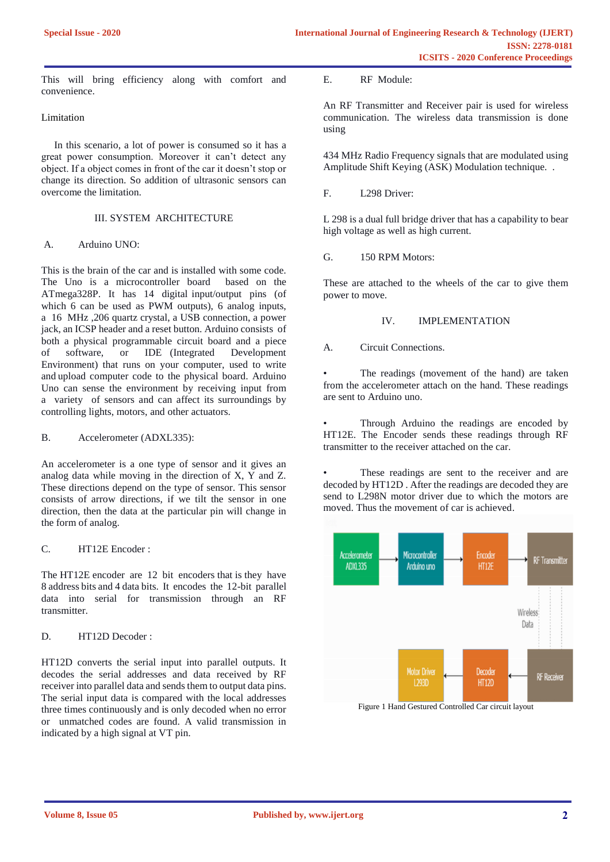This will bring efficiency along with comfort and convenience.

#### Limitation

 In this scenario, a lot of power is consumed so it has a great power consumption. Moreover it can't detect any object. If a object comes in front of the car it doesn't stop or change its direction. So addition of ultrasonic sensors can overcome the limitation.

## III. SYSTEM ARCHITECTURE

### A. Arduino UNO:

This is the brain of the car and is installed with some code. The Uno is a microcontroller board based on the ATmega328P. It has 14 digital input/output pins (of which 6 can be used as PWM outputs), 6 analog inputs, a 16 MHz ,206 quartz crystal, a USB connection, a power jack, an ICSP header and a reset button. Arduino consists of both a physical programmable circuit board and a piece of software, or IDE (Integrated Development Environment) that runs on your computer, used to write and upload computer code to the physical board. Arduino Uno can sense the environment by receiving input from a variety of sensors and can affect its surroundings by controlling lights, motors, and other actuators.

#### B. Accelerometer (ADXL335):

An accelerometer is a one type of sensor and it gives an analog data while moving in the direction of  $X$ ,  $\overline{Y}$  and  $\overline{Z}$ . These directions depend on the type of sensor. This sensor consists of arrow directions, if we tilt the sensor in one direction, then the data at the particular pin will change in the form of analog.

## C. HT12E Encoder :

The HT12E encoder are 12 bit encoders that is they have 8 address bits and 4 data bits. It encodes the 12-bit parallel data into serial for transmission through an RF transmitter.

## D. HT12D Decoder :

HT12D converts the serial input into parallel outputs. It decodes the serial addresses and data received by RF receiver into parallel data and sends them to output data pins. The serial input data is compared with the local addresses three times continuously and is only decoded when no error or unmatched codes are found. A valid transmission in indicated by a high signal at VT pin.

E. RF Module:

An RF Transmitter and Receiver pair is used for wireless communication. The wireless data transmission is done using

434 MHz Radio Frequency signals that are modulated using Amplitude Shift Keying (ASK) Modulation technique. .

F. L298 Driver:

L 298 is a dual full bridge driver that has a capability to bear high voltage as well as high current.

G. 150 RPM Motors:

These are attached to the wheels of the car to give them power to move.

## IV. IMPLEMENTATION

A. Circuit Connections.

The readings (movement of the hand) are taken from the accelerometer attach on the hand. These readings are sent to Arduino uno.

• Through Arduino the readings are encoded by HT12E. The Encoder sends these readings through RF transmitter to the receiver attached on the car.

These readings are sent to the receiver and are decoded by HT12D . After the readings are decoded they are send to L298N motor driver due to which the motors are moved. Thus the movement of car is achieved.



Figure 1 Hand Gestured Controlled Car circuit layout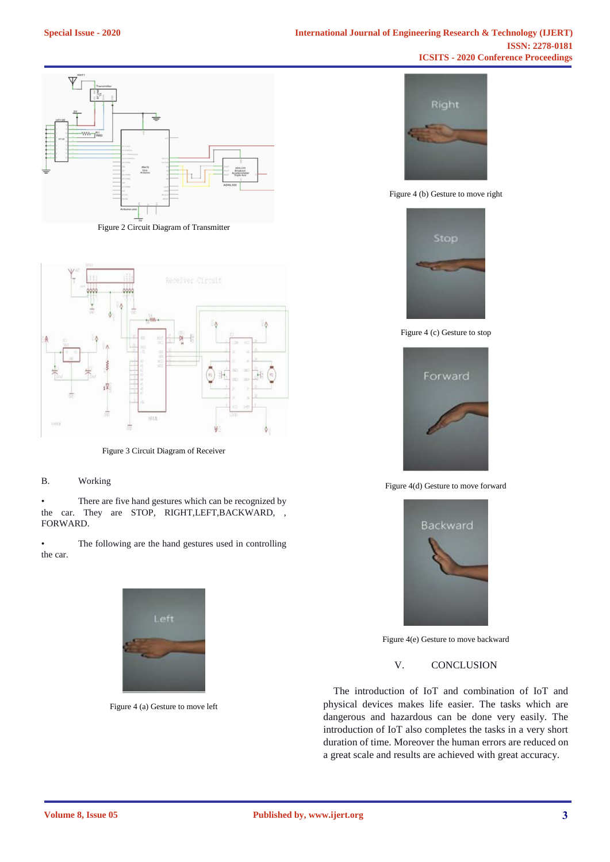

Figure 2 Circuit Diagram of Transmitter



Figure 3 Circuit Diagram of Receiver

#### B. Working

• There are five hand gestures which can be recognized by the car. They are STOP, RIGHT,LEFT,BACKWARD, , FORWARD.

• The following are the hand gestures used in controlling the car.



Figure 4 (a) Gesture to move left



Figure 4 (b) Gesture to move right



Figure 4 (c) Gesture to stop



Figure 4(d) Gesture to move forward



Figure 4(e) Gesture to move backward

V. CONCLUSION

 The introduction of IoT and combination of IoT and physical devices makes life easier. The tasks which are dangerous and hazardous can be done very easily. The introduction of IoT also completes the tasks in a very short duration of time. Moreover the human errors are reduced on a great scale and results are achieved with great accuracy.